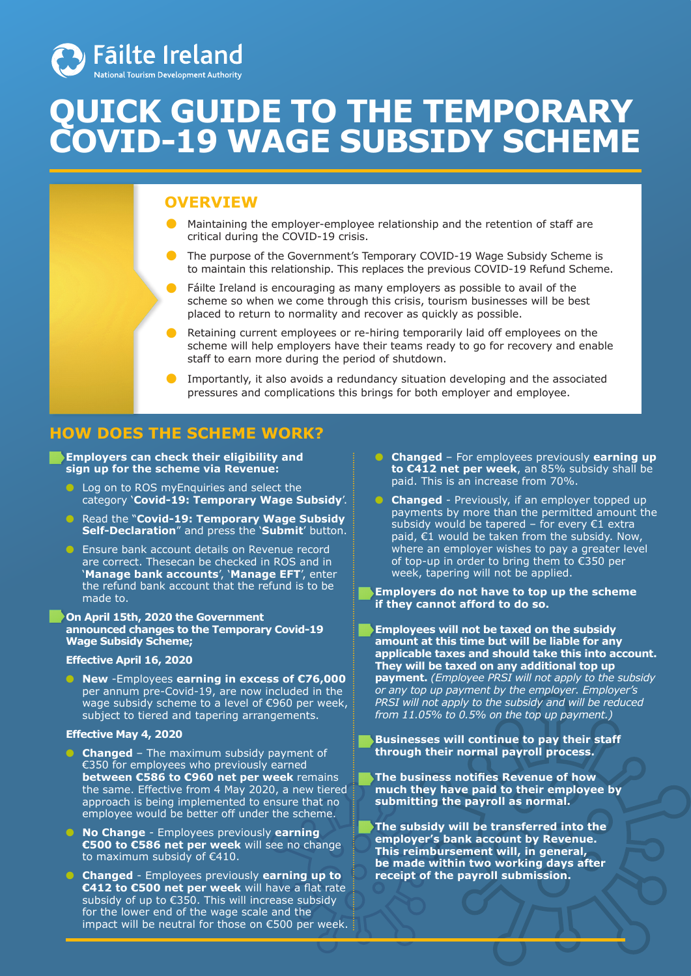

# **QUICK GUIDE TO THE TEMPORARY COVID-19 WAGE SUBSIDY SCHEME**

# **OVERVIEW**

- Maintaining the employer-employee relationship and the retention of staff are critical during the COVID-19 crisis.
- The purpose of the Government's Temporary COVID-19 Wage Subsidy Scheme is to maintain this relationship. This replaces the previous COVID-19 Refund Scheme.
	- Fáilte Ireland is encouraging as many employers as possible to avail of the scheme so when we come through this crisis, tourism businesses will be best placed to return to normality and recover as quickly as possible.
- Retaining current employees or re-hiring temporarily laid off employees on the scheme will help employers have their teams ready to go for recovery and enable staff to earn more during the period of shutdown.
- **•** Importantly, it also avoids a redundancy situation developing and the associated pressures and complications this brings for both employer and employee.

## **HOW DOES THE SCHEME WORK?**

**Employers can check their eligibility and sign up for the scheme via Revenue:** 

- Log on to ROS myEnquiries and select the category '**Covid-19: Temporary Wage Subsidy**'.
- Read the "**Covid-19: Temporary Wage Subsidy Self-Declaration**" and press the '**Submit**' button.
- Ensure bank account details on Revenue record are correct. Thesecan be checked in ROS and in '**Manage bank accounts**', '**Manage EFT**', enter the refund bank account that the refund is to be made to.

#### **On April 15th, 2020 the Government announced changes to the Temporary Covid-19 Wage Subsidy Scheme;**

#### **Effective April 16, 2020**

● **New** -Employees **earning in excess of €76,000** per annum pre-Covid-19, are now included in the wage subsidy scheme to a level of €960 per week, subject to tiered and tapering arrangements.

#### **Effective May 4, 2020**

- **Changed** The maximum subsidy payment of €350 for employees who previously earned **between €586 to €960 net per week remains** the same. Effective from 4 May 2020, a new tiered approach is being implemented to ensure that no employee would be better off under the scheme.
- **No Change** Employees previously **earning €500 to €586 net per week** will see no change to maximum subsidy of €410.
- **Changed** Employees previously **earning up to €412 to €500 net per week** will have a flat rate subsidy of up to €350. This will increase subsidy for the lower end of the wage scale and the impact will be neutral for those on €500 per week.
- **Changed**  For employees previously **earning up to €412 net per week**, an 85% subsidy shall be paid. This is an increase from 70%.
- **Changed** Previously, if an employer topped up payments by more than the permitted amount the subsidy would be tapered – for every  $\epsilon$ 1 extra paid,  $E1$  would be taken from the subsidy. Now, where an employer wishes to pay a greater level of top-up in order to bring them to €350 per week, tapering will not be applied.
- **Employers do not have to top up the scheme if they cannot afford to do so.**
- **Employees will not be taxed on the subsidy amount at this time but will be liable for any applicable taxes and should take this into account. They will be taxed on any additional top up payment.** *(Employee PRSI will not apply to the subsidy or any top up payment by the employer. Employer's PRSI will not apply to the subsidy and will be reduced from 11.05% to 0.5% on the top up payment.)*
- **Businesses will continue to pay their staff through their normal payroll process.**
- **The business notifies Revenue of how much they have paid to their employee by submitting the payroll as normal.**
- **The subsidy will be transferred into the employer's bank account by Revenue. This reimbursement will, in general, be made within two working days after receipt of the payroll submission.**